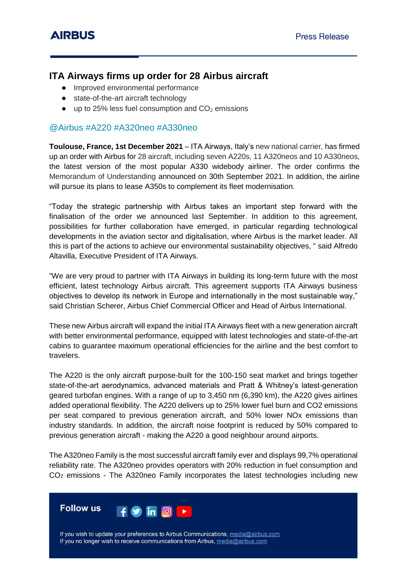## **ITA Airways firms up order for 28 Airbus aircraft**

- Improved environmental performance
- state-of-the-art aircraft technology
- $\bullet$  up to 25% less fuel consumption and  $CO<sub>2</sub>$  emissions

### @Airbus #A220 #A320neo #A330neo

**Toulouse, France, 1st December 2021** – ITA Airways, Italy's new national carrier, has firmed up an order with Airbus for 28 aircraft, including seven A220s, 11 A320neos and 10 A330neos, the latest version of the most popular A330 widebody airliner. The order confirms the Memorandum of Understanding announced on 30th September 2021. In addition, the airline will pursue its plans to lease A350s to complement its fleet modernisation.

"Today the strategic partnership with Airbus takes an important step forward with the finalisation of the order we announced last September. In addition to this agreement, possibilities for further collaboration have emerged, in particular regarding technological developments in the aviation sector and digitalisation, where Airbus is the market leader. All this is part of the actions to achieve our environmental sustainability objectives, " said Alfredo Altavilla, Executive President of ITA Airways.

"We are very proud to partner with ITA Airways in building its long-term future with the most efficient, latest technology Airbus aircraft. This agreement supports ITA Airways business objectives to develop its network in Europe and internationally in the most sustainable way," said Christian Scherer, Airbus Chief Commercial Officer and Head of Airbus International.

These new Airbus aircraft will expand the initial ITA Airways fleet with a new generation aircraft with better environmental performance, equipped with latest technologies and state-of-the-art cabins to guarantee maximum operational efficiencies for the airline and the best comfort to travelers.

The A220 is the only aircraft purpose-built for the 100-150 seat market and brings together state-of-the-art aerodynamics, advanced materials and Pratt & Whitney's latest-generation geared turbofan engines. With a range of up to 3,450 nm (6,390 km), the A220 gives airlines added operational flexibility. The A220 delivers up to 25% lower fuel burn and CO2 emissions per seat compared to previous generation aircraft, and 50% lower NOx emissions than industry standards. In addition, the aircraft noise footprint is reduced by 50% compared to previous generation aircraft - making the A220 a good neighbour around airports.

The A320neo Family is the most successful aircraft family ever and displays 99,7% operational reliability rate. The A320neo provides operators with 20% reduction in fuel consumption and CO<sup>2</sup> emissions - The A320neo Family incorporates the latest technologies including new



If you wish to update your preferences to Airbus Communications, media@airbus.com If you no longer wish to receive communications from Airbus, media@airbus.com